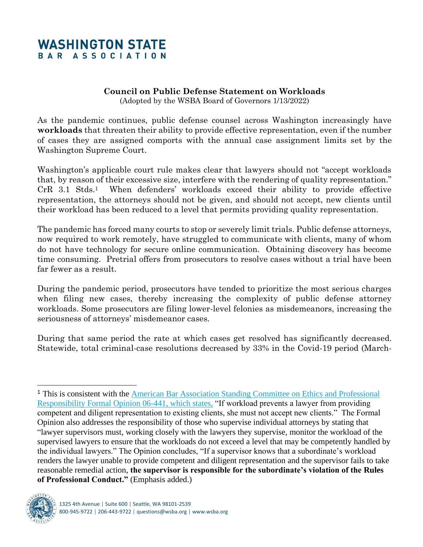## **WASHINGTON STATE** BAR ASSOCIATION

## **Council on Public Defense Statement on Workloads**

(Adopted by the WSBA Board of Governors 1/13/2022)

As the pandemic continues, public defense counsel across Washington increasingly have **workloads** that threaten their ability to provide effective representation, even if the number of cases they are assigned comports with the annual case assignment limits set by the Washington Supreme Court.

Washington's applicable court rule makes clear that lawyers should not "accept workloads that, by reason of their excessive size, interfere with the rendering of quality representation." CrR 3.1 Stds.<sup>1</sup> When defenders' workloads exceed their ability to provide effective representation, the attorneys should not be given, and should not accept, new clients until their workload has been reduced to a level that permits providing quality representation.

The pandemic has forced many courts to stop or severely limit trials. Public defense attorneys, now required to work remotely, have struggled to communicate with clients, many of whom do not have technology for secure online communication. Obtaining discovery has become time consuming. Pretrial offers from prosecutors to resolve cases without a trial have been far fewer as a result.

During the pandemic period, prosecutors have tended to prioritize the most serious charges when filing new cases, thereby increasing the complexity of public defense attorney workloads. Some prosecutors are filing lower-level felonies as misdemeanors, increasing the seriousness of attorneys' misdemeanor cases.

During that same period the rate at which cases get resolved has significantly decreased. Statewide, total criminal-case resolutions decreased by 33% in the Covid-19 period (March-

<sup>1</sup> This is consistent with the [American Bar Association Standing Committee on Ethics and Professional](file:///C:/Users/Ann/Documents/ABA%20Formal%20Opinion%2006-441%20on%20excessive%20caseloads.pdf)  [Responsibility Formal Opinion 06-441,](file:///C:/Users/Ann/Documents/ABA%20Formal%20Opinion%2006-441%20on%20excessive%20caseloads.pdf) which states, "If workload prevents a lawyer from providing competent and diligent representation to existing clients, she must not accept new clients." The Formal Opinion also addresses the responsibility of those who supervise individual attorneys by stating that "lawyer supervisors must, working closely with the lawyers they supervise, monitor the workload of the supervised lawyers to ensure that the workloads do not exceed a level that may be competently handled by the individual lawyers." The Opinion concludes, "If a supervisor knows that a subordinate's workload renders the lawyer unable to provide competent and diligent representation and the supervisor fails to take reasonable remedial action, **the supervisor is responsible for the subordinate's violation of the Rules of Professional Conduct."** (Emphasis added.)